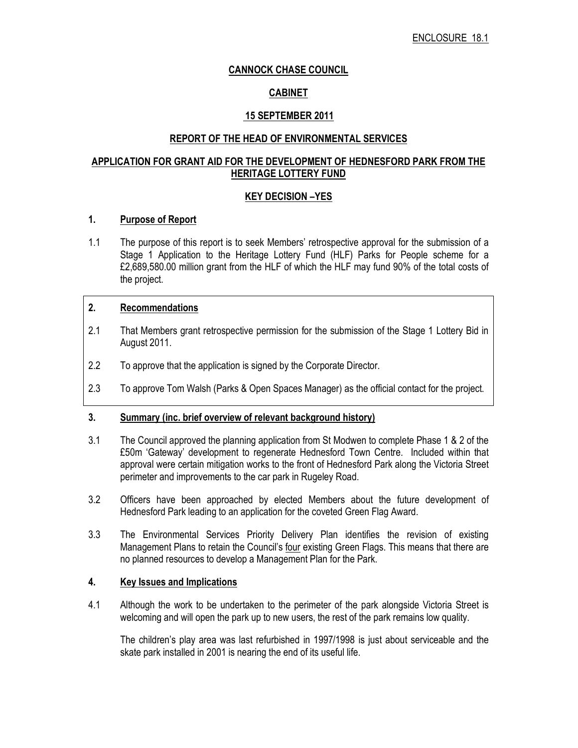## CANNOCK CHASE COUNCIL

## CABINET

## 15 SEPTEMBER 2011

### REPORT OF THE HEAD OF ENVIRONMENTAL SERVICES

## APPLICATION FOR GRANT AID FOR THE DEVELOPMENT OF HEDNESFORD PARK FROM THE HERITAGE LOTTERY FUND

## KEY DECISION –YES

## 1. Purpose of Report

1.1 The purpose of this report is to seek Members' retrospective approval for the submission of a Stage 1 Application to the Heritage Lottery Fund (HLF) Parks for People scheme for a £2,689,580.00 million grant from the HLF of which the HLF may fund 90% of the total costs of the project.

#### 2. Recommendations

- 2.1 That Members grant retrospective permission for the submission of the Stage 1 Lottery Bid in August 2011.
- 2.2 To approve that the application is signed by the Corporate Director.
- 2.3 To approve Tom Walsh (Parks & Open Spaces Manager) as the official contact for the project.

#### 3. Summary (inc. brief overview of relevant background history)

- 3.1 The Council approved the planning application from St Modwen to complete Phase 1 & 2 of the £50m 'Gateway' development to regenerate Hednesford Town Centre. Included within that approval were certain mitigation works to the front of Hednesford Park along the Victoria Street perimeter and improvements to the car park in Rugeley Road.
- 3.2 Officers have been approached by elected Members about the future development of Hednesford Park leading to an application for the coveted Green Flag Award.
- 3.3 The Environmental Services Priority Delivery Plan identifies the revision of existing Management Plans to retain the Council's four existing Green Flags. This means that there are no planned resources to develop a Management Plan for the Park.

#### 4. Key Issues and Implications

4.1 Although the work to be undertaken to the perimeter of the park alongside Victoria Street is welcoming and will open the park up to new users, the rest of the park remains low quality.

The children's play area was last refurbished in 1997/1998 is just about serviceable and the skate park installed in 2001 is nearing the end of its useful life.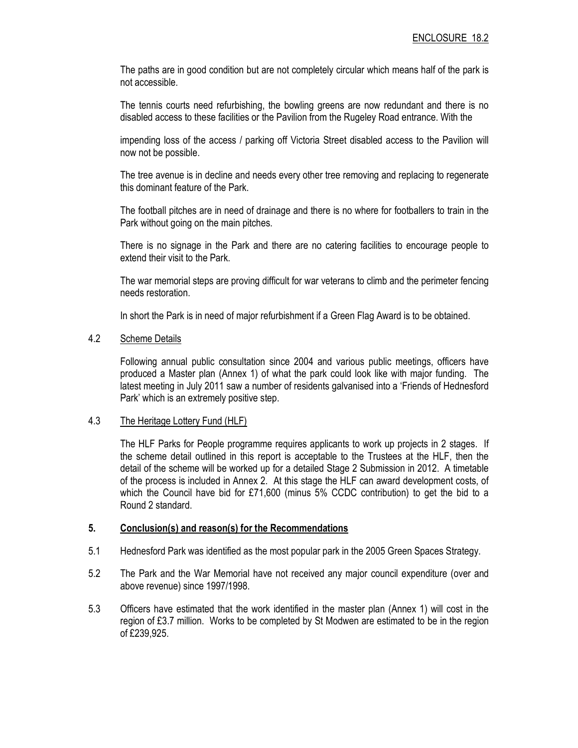The paths are in good condition but are not completely circular which means half of the park is not accessible.

The tennis courts need refurbishing, the bowling greens are now redundant and there is no disabled access to these facilities or the Pavilion from the Rugeley Road entrance. With the

impending loss of the access / parking off Victoria Street disabled access to the Pavilion will now not be possible.

The tree avenue is in decline and needs every other tree removing and replacing to regenerate this dominant feature of the Park.

The football pitches are in need of drainage and there is no where for footballers to train in the Park without going on the main pitches.

There is no signage in the Park and there are no catering facilities to encourage people to extend their visit to the Park.

The war memorial steps are proving difficult for war veterans to climb and the perimeter fencing needs restoration.

In short the Park is in need of major refurbishment if a Green Flag Award is to be obtained.

#### 4.2 Scheme Details

Following annual public consultation since 2004 and various public meetings, officers have produced a Master plan (Annex 1) of what the park could look like with major funding. The latest meeting in July 2011 saw a number of residents galvanised into a 'Friends of Hednesford Park' which is an extremely positive step.

#### 4.3 The Heritage Lottery Fund (HLF)

The HLF Parks for People programme requires applicants to work up projects in 2 stages. If the scheme detail outlined in this report is acceptable to the Trustees at the HLF, then the detail of the scheme will be worked up for a detailed Stage 2 Submission in 2012. A timetable of the process is included in Annex 2. At this stage the HLF can award development costs, of which the Council have bid for £71,600 (minus 5% CCDC contribution) to get the bid to a Round 2 standard.

#### 5. Conclusion(s) and reason(s) for the Recommendations

- 5.1 Hednesford Park was identified as the most popular park in the 2005 Green Spaces Strategy.
- 5.2 The Park and the War Memorial have not received any major council expenditure (over and above revenue) since 1997/1998.
- 5.3 Officers have estimated that the work identified in the master plan (Annex 1) will cost in the region of £3.7 million. Works to be completed by St Modwen are estimated to be in the region of £239,925.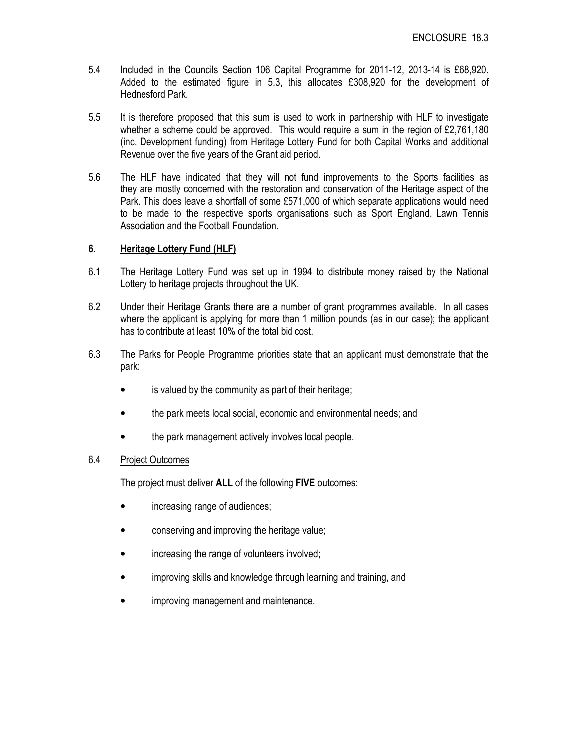- 5.4 Included in the Councils Section 106 Capital Programme for 2011-12, 2013-14 is £68,920. Added to the estimated figure in 5.3, this allocates £308,920 for the development of Hednesford Park.
- 5.5 It is therefore proposed that this sum is used to work in partnership with HLF to investigate whether a scheme could be approved. This would require a sum in the region of £2,761,180 (inc. Development funding) from Heritage Lottery Fund for both Capital Works and additional Revenue over the five years of the Grant aid period.
- 5.6 The HLF have indicated that they will not fund improvements to the Sports facilities as they are mostly concerned with the restoration and conservation of the Heritage aspect of the Park. This does leave a shortfall of some £571,000 of which separate applications would need to be made to the respective sports organisations such as Sport England, Lawn Tennis Association and the Football Foundation.

## 6. Heritage Lottery Fund (HLF)

- 6.1 The Heritage Lottery Fund was set up in 1994 to distribute money raised by the National Lottery to heritage projects throughout the UK.
- 6.2 Under their Heritage Grants there are a number of grant programmes available. In all cases where the applicant is applying for more than 1 million pounds (as in our case); the applicant has to contribute at least 10% of the total bid cost.
- 6.3 The Parks for People Programme priorities state that an applicant must demonstrate that the park:
	- is valued by the community as part of their heritage;
	- the park meets local social, economic and environmental needs; and
	- the park management actively involves local people.

#### 6.4 Project Outcomes

The project must deliver ALL of the following FIVE outcomes:

- increasing range of audiences;
- conserving and improving the heritage value;
- increasing the range of volunteers involved;
- improving skills and knowledge through learning and training, and
- improving management and maintenance.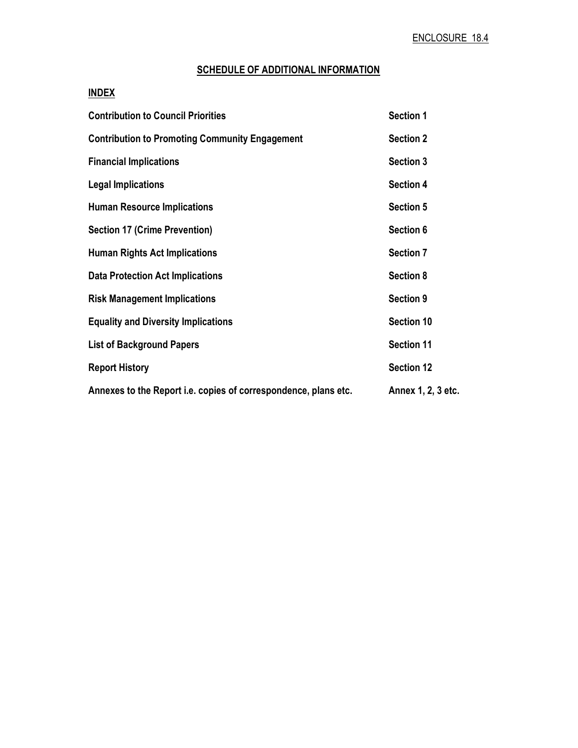# SCHEDULE OF ADDITIONAL INFORMATION

## INDEX

| <b>Contribution to Council Priorities</b>                       | <b>Section 1</b>   |
|-----------------------------------------------------------------|--------------------|
| <b>Contribution to Promoting Community Engagement</b>           | <b>Section 2</b>   |
| <b>Financial Implications</b>                                   | <b>Section 3</b>   |
| <b>Legal Implications</b>                                       | <b>Section 4</b>   |
| <b>Human Resource Implications</b>                              | <b>Section 5</b>   |
| <b>Section 17 (Crime Prevention)</b>                            | Section 6          |
| <b>Human Rights Act Implications</b>                            | <b>Section 7</b>   |
| <b>Data Protection Act Implications</b>                         | <b>Section 8</b>   |
| <b>Risk Management Implications</b>                             | Section 9          |
| <b>Equality and Diversity Implications</b>                      | <b>Section 10</b>  |
| <b>List of Background Papers</b>                                | <b>Section 11</b>  |
| <b>Report History</b>                                           | <b>Section 12</b>  |
| Annexes to the Report i.e. copies of correspondence, plans etc. | Annex 1, 2, 3 etc. |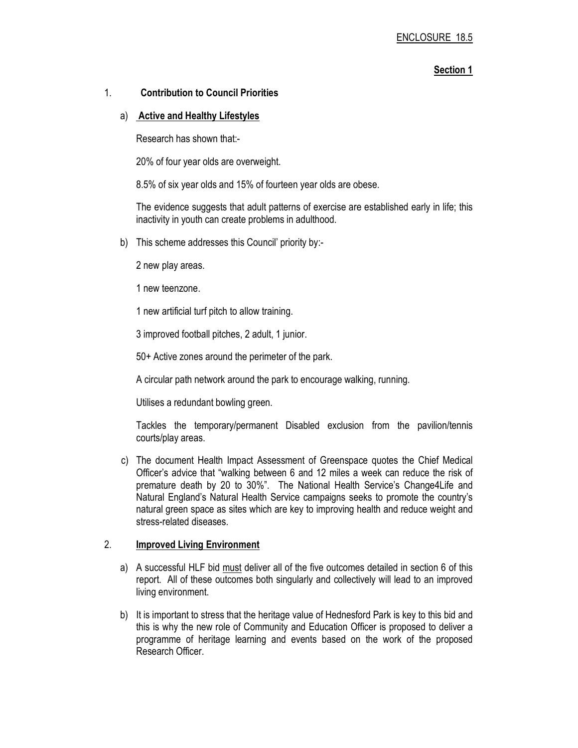#### Section 1

#### 1. Contribution to Council Priorities

#### a) Active and Healthy Lifestyles

Research has shown that:-

20% of four year olds are overweight.

8.5% of six year olds and 15% of fourteen year olds are obese.

The evidence suggests that adult patterns of exercise are established early in life; this inactivity in youth can create problems in adulthood.

- b) This scheme addresses this Council' priority by:-
	- 2 new play areas.
	- 1 new teenzone.

1 new artificial turf pitch to allow training.

3 improved football pitches, 2 adult, 1 junior.

50+ Active zones around the perimeter of the park.

A circular path network around the park to encourage walking, running.

Utilises a redundant bowling green.

Tackles the temporary/permanent Disabled exclusion from the pavilion/tennis courts/play areas.

 c) The document Health Impact Assessment of Greenspace quotes the Chief Medical Officer's advice that "walking between 6 and 12 miles a week can reduce the risk of premature death by 20 to 30%". The National Health Service's Change4Life and Natural England's Natural Health Service campaigns seeks to promote the country's natural green space as sites which are key to improving health and reduce weight and stress-related diseases.

#### 2. Improved Living Environment

- a) A successful HLF bid must deliver all of the five outcomes detailed in section 6 of this report. All of these outcomes both singularly and collectively will lead to an improved living environment.
- b) It is important to stress that the heritage value of Hednesford Park is key to this bid and this is why the new role of Community and Education Officer is proposed to deliver a programme of heritage learning and events based on the work of the proposed Research Officer.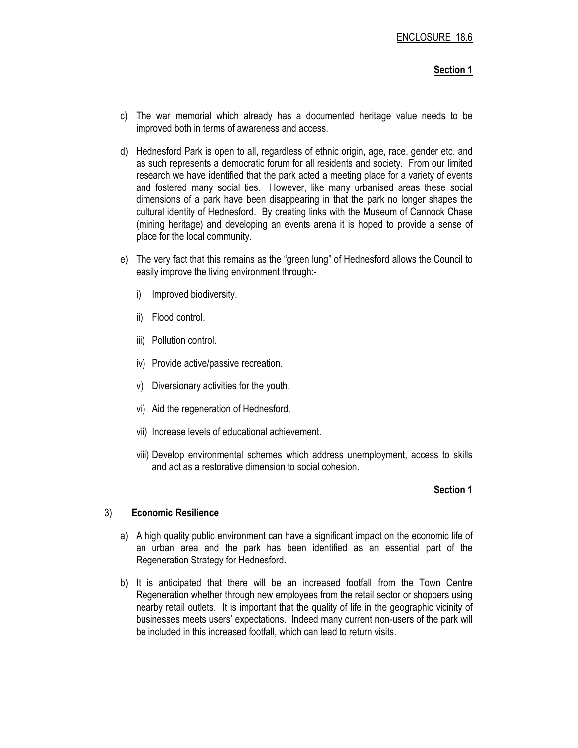#### Section 1

- c) The war memorial which already has a documented heritage value needs to be improved both in terms of awareness and access.
- d) Hednesford Park is open to all, regardless of ethnic origin, age, race, gender etc. and as such represents a democratic forum for all residents and society. From our limited research we have identified that the park acted a meeting place for a variety of events and fostered many social ties. However, like many urbanised areas these social dimensions of a park have been disappearing in that the park no longer shapes the cultural identity of Hednesford. By creating links with the Museum of Cannock Chase (mining heritage) and developing an events arena it is hoped to provide a sense of place for the local community.
- e) The very fact that this remains as the "green lung" of Hednesford allows the Council to easily improve the living environment through:
	- i) Improved biodiversity.
	- ii) Flood control.
	- iii) Pollution control.
	- iv) Provide active/passive recreation.
	- v) Diversionary activities for the youth.
	- vi) Aid the regeneration of Hednesford.
	- vii) Increase levels of educational achievement.
	- viii) Develop environmental schemes which address unemployment, access to skills and act as a restorative dimension to social cohesion.

#### Section 1

#### 3) Economic Resilience

- a) A high quality public environment can have a significant impact on the economic life of an urban area and the park has been identified as an essential part of the Regeneration Strategy for Hednesford.
- b) It is anticipated that there will be an increased footfall from the Town Centre Regeneration whether through new employees from the retail sector or shoppers using nearby retail outlets. It is important that the quality of life in the geographic vicinity of businesses meets users' expectations. Indeed many current non-users of the park will be included in this increased footfall, which can lead to return visits.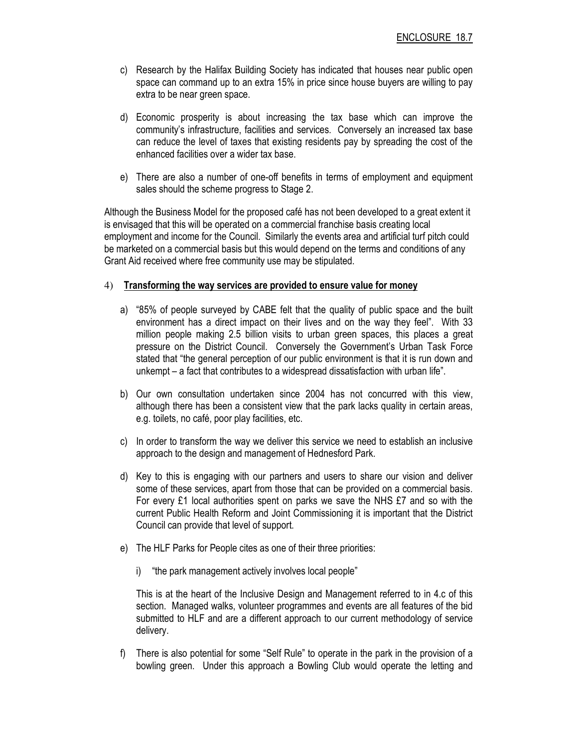- c) Research by the Halifax Building Society has indicated that houses near public open space can command up to an extra 15% in price since house buyers are willing to pay extra to be near green space.
- d) Economic prosperity is about increasing the tax base which can improve the community's infrastructure, facilities and services. Conversely an increased tax base can reduce the level of taxes that existing residents pay by spreading the cost of the enhanced facilities over a wider tax base.
- e) There are also a number of one-off benefits in terms of employment and equipment sales should the scheme progress to Stage 2.

Although the Business Model for the proposed café has not been developed to a great extent it is envisaged that this will be operated on a commercial franchise basis creating local employment and income for the Council. Similarly the events area and artificial turf pitch could be marketed on a commercial basis but this would depend on the terms and conditions of any Grant Aid received where free community use may be stipulated.

#### 4) Transforming the way services are provided to ensure value for money

- a) "85% of people surveyed by CABE felt that the quality of public space and the built environment has a direct impact on their lives and on the way they feel". With 33 million people making 2.5 billion visits to urban green spaces, this places a great pressure on the District Council. Conversely the Government's Urban Task Force stated that "the general perception of our public environment is that it is run down and unkempt – a fact that contributes to a widespread dissatisfaction with urban life".
- b) Our own consultation undertaken since 2004 has not concurred with this view, although there has been a consistent view that the park lacks quality in certain areas, e.g. toilets, no café, poor play facilities, etc.
- c) In order to transform the way we deliver this service we need to establish an inclusive approach to the design and management of Hednesford Park.
- d) Key to this is engaging with our partners and users to share our vision and deliver some of these services, apart from those that can be provided on a commercial basis. For every £1 local authorities spent on parks we save the NHS £7 and so with the current Public Health Reform and Joint Commissioning it is important that the District Council can provide that level of support.
- e) The HLF Parks for People cites as one of their three priorities:
	- i) "the park management actively involves local people"

This is at the heart of the Inclusive Design and Management referred to in 4.c of this section. Managed walks, volunteer programmes and events are all features of the bid submitted to HLF and are a different approach to our current methodology of service delivery.

f) There is also potential for some "Self Rule" to operate in the park in the provision of a bowling green. Under this approach a Bowling Club would operate the letting and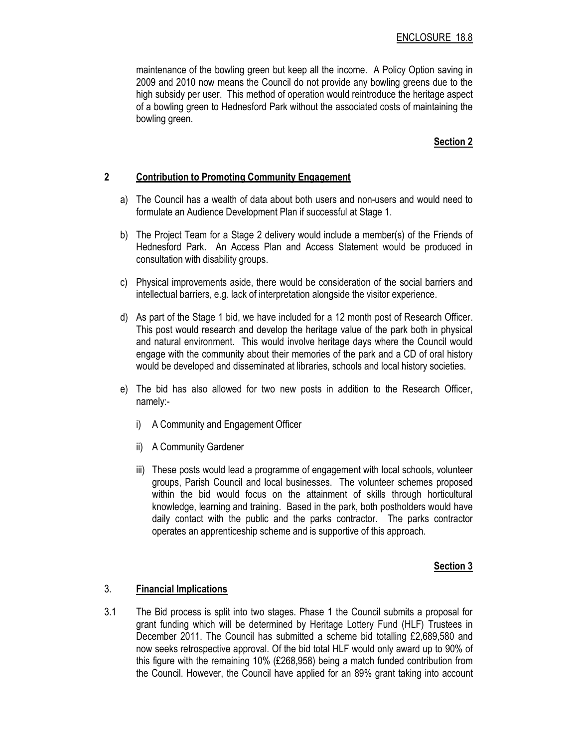maintenance of the bowling green but keep all the income. A Policy Option saving in 2009 and 2010 now means the Council do not provide any bowling greens due to the high subsidy per user. This method of operation would reintroduce the heritage aspect of a bowling green to Hednesford Park without the associated costs of maintaining the bowling green.

#### Section 2

#### 2 Contribution to Promoting Community Engagement

- a) The Council has a wealth of data about both users and non-users and would need to formulate an Audience Development Plan if successful at Stage 1.
- b) The Project Team for a Stage 2 delivery would include a member(s) of the Friends of Hednesford Park. An Access Plan and Access Statement would be produced in consultation with disability groups.
- c) Physical improvements aside, there would be consideration of the social barriers and intellectual barriers, e.g. lack of interpretation alongside the visitor experience.
- d) As part of the Stage 1 bid, we have included for a 12 month post of Research Officer. This post would research and develop the heritage value of the park both in physical and natural environment. This would involve heritage days where the Council would engage with the community about their memories of the park and a CD of oral history would be developed and disseminated at libraries, schools and local history societies.
- e) The bid has also allowed for two new posts in addition to the Research Officer, namely:
	- i) A Community and Engagement Officer
	- ii) A Community Gardener
	- iii) These posts would lead a programme of engagement with local schools, volunteer groups, Parish Council and local businesses. The volunteer schemes proposed within the bid would focus on the attainment of skills through horticultural knowledge, learning and training. Based in the park, both postholders would have daily contact with the public and the parks contractor. The parks contractor operates an apprenticeship scheme and is supportive of this approach.

#### Section 3

#### 3. Financial Implications

3.1 The Bid process is split into two stages. Phase 1 the Council submits a proposal for grant funding which will be determined by Heritage Lottery Fund (HLF) Trustees in December 2011. The Council has submitted a scheme bid totalling £2,689,580 and now seeks retrospective approval. Of the bid total HLF would only award up to 90% of this figure with the remaining 10% (£268,958) being a match funded contribution from the Council. However, the Council have applied for an 89% grant taking into account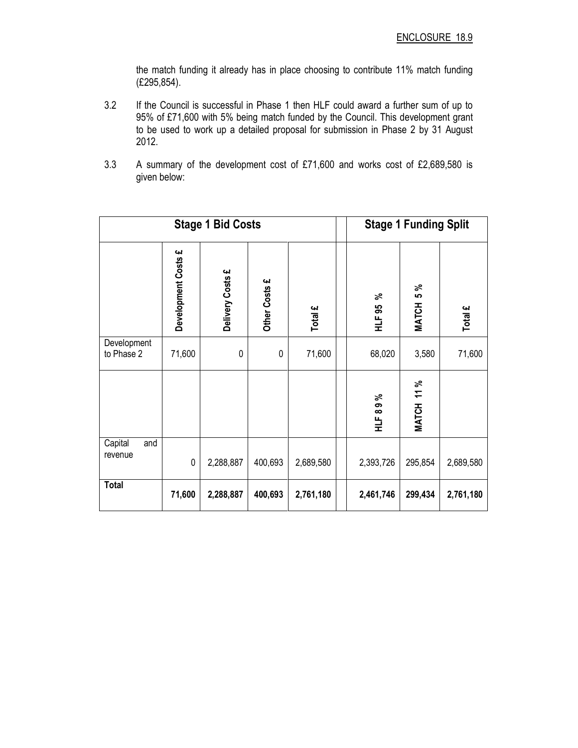the match funding it already has in place choosing to contribute 11% match funding (£295,854).

- 3.2 If the Council is successful in Phase 1 then HLF could award a further sum of up to 95% of £71,600 with 5% being match funded by the Council. This development grant to be used to work up a detailed proposal for submission in Phase 2 by 31 August 2012.
- 3.3 A summary of the development cost of £71,600 and works cost of £2,689,580 is given below:

|                           |                     | <b>Stage 1 Bid Costs</b> | <b>Stage 1 Funding Split</b> |           |              |                     |           |  |  |
|---------------------------|---------------------|--------------------------|------------------------------|-----------|--------------|---------------------|-----------|--|--|
|                           | Development Costs £ | Delivery Costs £         | Other Costs £                | Total £   | వి<br>HLF 95 | 5%<br><b>MATCH</b>  | Total £   |  |  |
| Development<br>to Phase 2 | 71,600              | $\mathbf 0$              | $\mathbf 0$                  | 71,600    | 68,020       | 3,580               | 71,600    |  |  |
|                           |                     |                          |                              |           | HLF89%       | 11%<br><b>MATCH</b> |           |  |  |
| Capital<br>and<br>revenue | $\pmb{0}$           | 2,288,887                | 400,693                      | 2,689,580 | 2,393,726    | 295,854             | 2,689,580 |  |  |
| <b>Total</b>              | 71,600              | 2,288,887                | 400,693                      | 2,761,180 | 2,461,746    | 299,434             | 2,761,180 |  |  |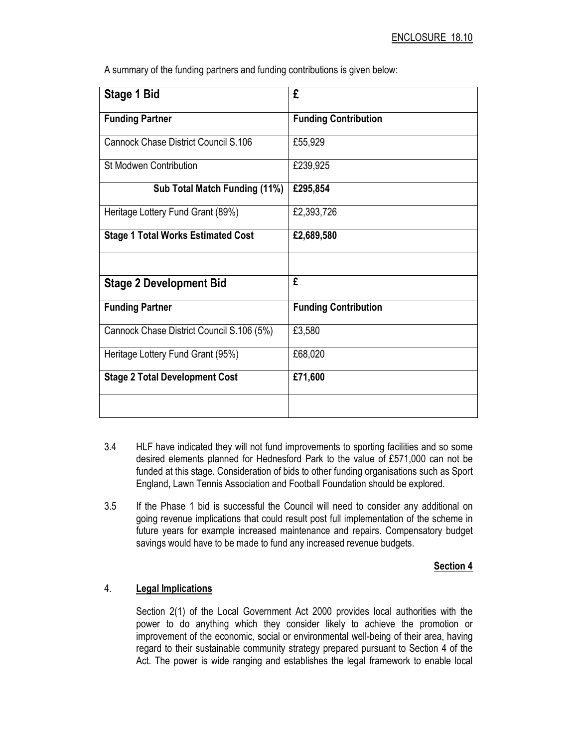A summary of the funding partners and funding contributions is given below:

| Stage 1 Bid                               | £                           |
|-------------------------------------------|-----------------------------|
| <b>Funding Partner</b>                    | <b>Funding Contribution</b> |
| Cannock Chase District Council S.106      | £55,929                     |
| <b>St Modwen Contribution</b>             | £239,925                    |
| Sub Total Match Funding (11%)             | £295,854                    |
| Heritage Lottery Fund Grant (89%)         | £2,393,726                  |
| <b>Stage 1 Total Works Estimated Cost</b> | £2,689,580                  |
|                                           |                             |
| <b>Stage 2 Development Bid</b>            | £                           |
| <b>Funding Partner</b>                    | <b>Funding Contribution</b> |
| Cannock Chase District Council S.106 (5%) | £3,580                      |
| Heritage Lottery Fund Grant (95%)         | £68,020                     |
| <b>Stage 2 Total Development Cost</b>     | £71,600                     |
|                                           |                             |

- 3.4 HLF have indicated they will not fund improvements to sporting facilities and so some desired elements planned for Hednesford Park to the value of £571,000 can not be funded at this stage. Consideration of bids to other funding organisations such as Sport England, Lawn Tennis Association and Football Foundation should be explored.
- 3.5 If the Phase 1 bid is successful the Council will need to consider any additional on going revenue implications that could result post full implementation of the scheme in future years for example increased maintenance and repairs. Compensatory budget savings would have to be made to fund any increased revenue budgets.

#### Section 4

## 4. Legal Implications

 Section 2(1) of the Local Government Act 2000 provides local authorities with the power to do anything which they consider likely to achieve the promotion or improvement of the economic, social or environmental well-being of their area, having regard to their sustainable community strategy prepared pursuant to Section 4 of the Act. The power is wide ranging and establishes the legal framework to enable local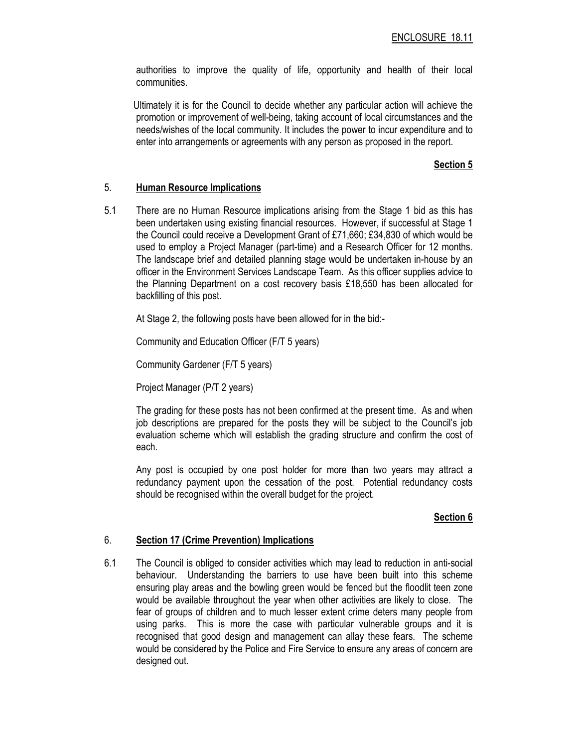authorities to improve the quality of life, opportunity and health of their local communities.

 Ultimately it is for the Council to decide whether any particular action will achieve the promotion or improvement of well-being, taking account of local circumstances and the needs/wishes of the local community. It includes the power to incur expenditure and to enter into arrangements or agreements with any person as proposed in the report.

### Section 5

#### 5. Human Resource Implications

5.1 There are no Human Resource implications arising from the Stage 1 bid as this has been undertaken using existing financial resources. However, if successful at Stage 1 the Council could receive a Development Grant of £71,660; £34,830 of which would be used to employ a Project Manager (part-time) and a Research Officer for 12 months. The landscape brief and detailed planning stage would be undertaken in-house by an officer in the Environment Services Landscape Team. As this officer supplies advice to the Planning Department on a cost recovery basis £18,550 has been allocated for backfilling of this post.

At Stage 2, the following posts have been allowed for in the bid:-

Community and Education Officer (F/T 5 years)

Community Gardener (F/T 5 years)

Project Manager (P/T 2 years)

The grading for these posts has not been confirmed at the present time. As and when job descriptions are prepared for the posts they will be subject to the Council's job evaluation scheme which will establish the grading structure and confirm the cost of each.

Any post is occupied by one post holder for more than two years may attract a redundancy payment upon the cessation of the post. Potential redundancy costs should be recognised within the overall budget for the project.

## Section 6

#### 6. Section 17 (Crime Prevention) Implications

6.1 The Council is obliged to consider activities which may lead to reduction in anti-social behaviour. Understanding the barriers to use have been built into this scheme ensuring play areas and the bowling green would be fenced but the floodlit teen zone would be available throughout the year when other activities are likely to close. The fear of groups of children and to much lesser extent crime deters many people from using parks. This is more the case with particular vulnerable groups and it is recognised that good design and management can allay these fears. The scheme would be considered by the Police and Fire Service to ensure any areas of concern are designed out.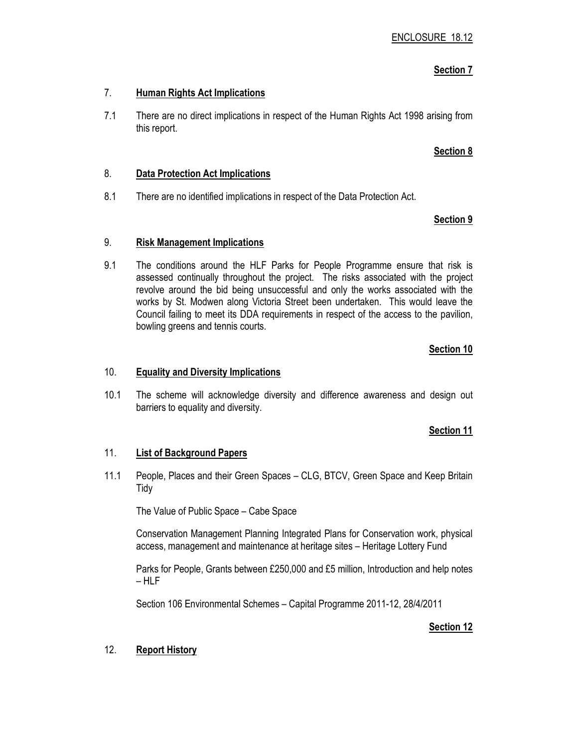## Section 7

## 7. Human Rights Act Implications

7.1 There are no direct implications in respect of the Human Rights Act 1998 arising from this report.

## Section 8

## 8. Data Protection Act Implications

8.1 There are no identified implications in respect of the Data Protection Act.

## Section 9

## 9. Risk Management Implications

9.1 The conditions around the HLF Parks for People Programme ensure that risk is assessed continually throughout the project. The risks associated with the project revolve around the bid being unsuccessful and only the works associated with the works by St. Modwen along Victoria Street been undertaken. This would leave the Council failing to meet its DDA requirements in respect of the access to the pavilion, bowling greens and tennis courts.

## Section 10

## 10. Equality and Diversity Implications

10.1 The scheme will acknowledge diversity and difference awareness and design out barriers to equality and diversity.

## Section 11

## 11. List of Background Papers

11.1 People, Places and their Green Spaces – CLG, BTCV, Green Space and Keep Britain Tidy

The Value of Public Space – Cabe Space

 Conservation Management Planning Integrated Plans for Conservation work, physical access, management and maintenance at heritage sites – Heritage Lottery Fund

 Parks for People, Grants between £250,000 and £5 million, Introduction and help notes – HLF

Section 106 Environmental Schemes – Capital Programme 2011-12, 28/4/2011

## Section 12

## 12. Report History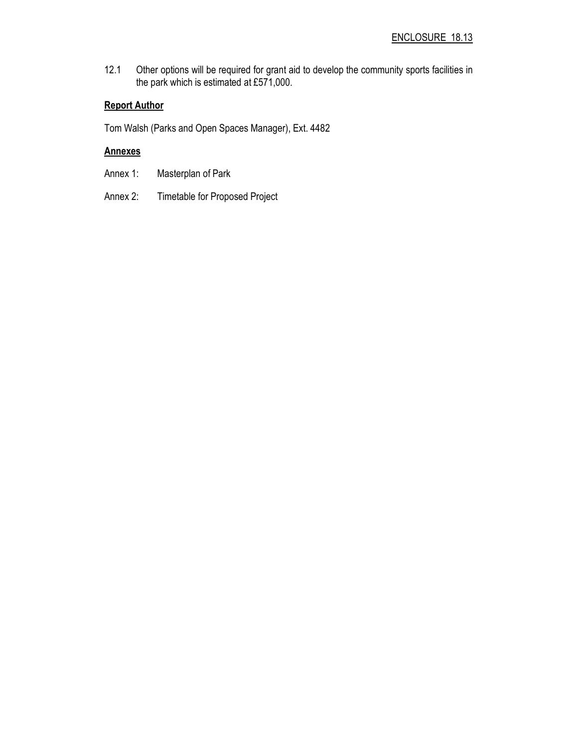12.1 Other options will be required for grant aid to develop the community sports facilities in the park which is estimated at £571,000.

## Report Author

Tom Walsh (Parks and Open Spaces Manager), Ext. 4482

## **Annexes**

- Annex 1: Masterplan of Park
- Annex 2: Timetable for Proposed Project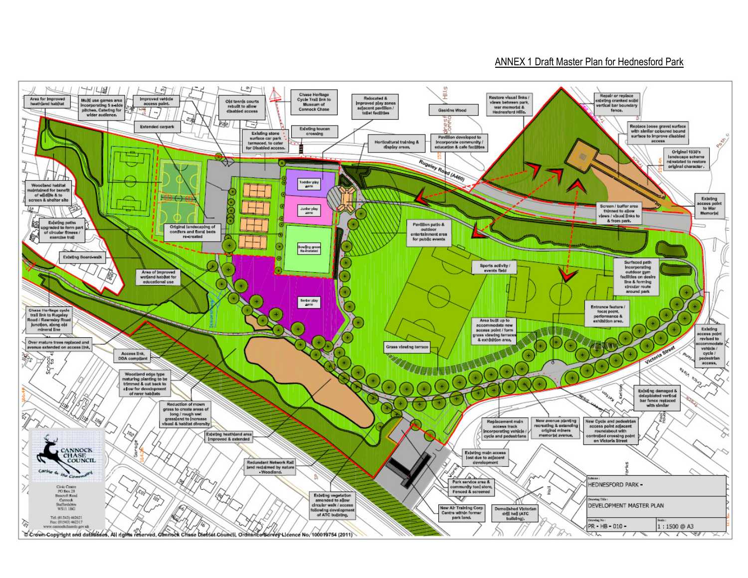### ANNEX 1 Draft Master Plan for Hednesford Park